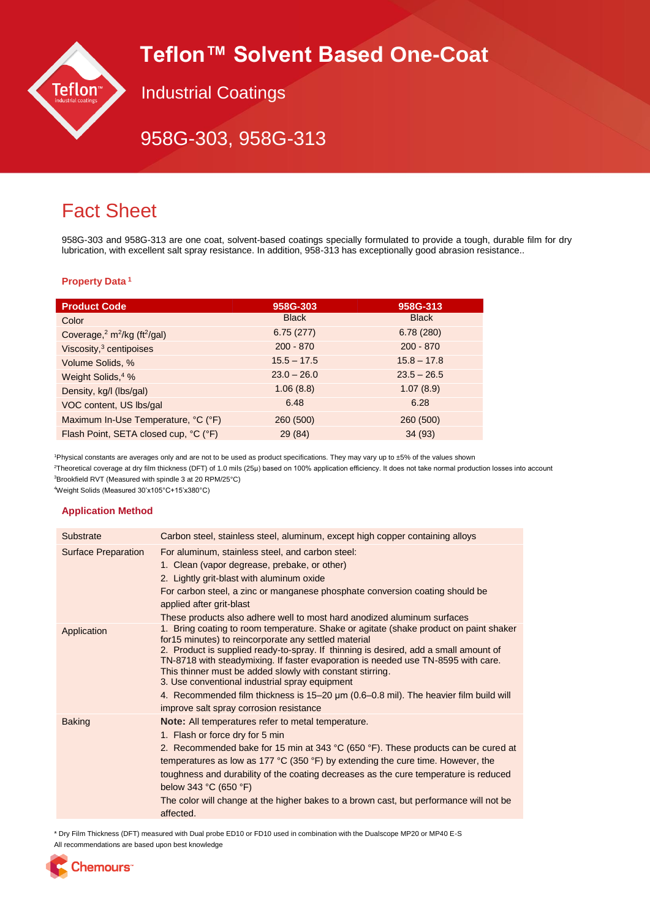# **Teflon™ Solvent Based One-Coat**



Industrial Coatings

## 958G-303, 958G-313

## Fact Sheet

958G-303 and 958G-313 are one coat, solvent-based coatings specially formulated to provide a tough, durable film for dry lubrication, with excellent salt spray resistance. In addition, 958-313 has exceptionally good abrasion resistance..

### **Property Data <sup>1</sup>**

| <b>Product Code</b>                                        | 958G-303      | 958G-313      |
|------------------------------------------------------------|---------------|---------------|
| Color                                                      | <b>Black</b>  | <b>Black</b>  |
| Coverage, $2 \text{ m}^2/\text{kg}$ (ft <sup>2</sup> /gal) | 6.75(277)     | 6.78(280)     |
| Viscosity, <sup>3</sup> centipoises                        | $200 - 870$   | $200 - 870$   |
| Volume Solids, %                                           | $15.5 - 17.5$ | $15.8 - 17.8$ |
| Weight Solids, <sup>4</sup> %                              | $23.0 - 26.0$ | $23.5 - 26.5$ |
| Density, kg/l (lbs/gal)                                    | 1.06(8.8)     | 1.07(8.9)     |
| VOC content, US lbs/gal                                    | 6.48          | 6.28          |
| Maximum In-Use Temperature, °C (°F)                        | 260 (500)     | 260 (500)     |
| Flash Point, SETA closed cup, °C (°F)                      | 29 (84)       | 34(93)        |
|                                                            |               |               |

<sup>1</sup>Physical constants are averages only and are not to be used as product specifications. They may vary up to ±5% of the values shown

<sup>2</sup>Theoretical coverage at dry film thickness (DFT) of 1.0 mils (25μ) based on 100% application efficiency. It does not take normal production losses into account <sup>3</sup>Brookfield RVT (Measured with spindle 3 at 20 RPM/25°C)

<sup>4</sup>Weight Solids (Measured 30'x105°C+15'x380°C)

### **Application Method**

| Substrate                  | Carbon steel, stainless steel, aluminum, except high copper containing alloys                                                                                                                                                                                                                                                                                                                                                                                                                                                                                                 |
|----------------------------|-------------------------------------------------------------------------------------------------------------------------------------------------------------------------------------------------------------------------------------------------------------------------------------------------------------------------------------------------------------------------------------------------------------------------------------------------------------------------------------------------------------------------------------------------------------------------------|
| <b>Surface Preparation</b> | For aluminum, stainless steel, and carbon steel:<br>1. Clean (vapor degrease, prebake, or other)<br>2. Lightly grit-blast with aluminum oxide<br>For carbon steel, a zinc or manganese phosphate conversion coating should be<br>applied after grit-blast<br>These products also adhere well to most hard anodized aluminum surfaces                                                                                                                                                                                                                                          |
| Application                | 1. Bring coating to room temperature. Shake or agitate (shake product on paint shaker<br>for 15 minutes) to reincorporate any settled material<br>2. Product is supplied ready-to-spray. If thinning is desired, add a small amount of<br>TN-8718 with steadymixing. If faster evaporation is needed use TN-8595 with care.<br>This thinner must be added slowly with constant stirring.<br>3. Use conventional industrial spray equipment<br>4. Recommended film thickness is 15–20 µm (0.6–0.8 mil). The heavier film build will<br>improve salt spray corrosion resistance |
| <b>Baking</b>              | <b>Note:</b> All temperatures refer to metal temperature.<br>1. Flash or force dry for 5 min<br>2. Recommended bake for 15 min at 343 °C (650 °F). These products can be cured at<br>temperatures as low as 177 °C (350 °F) by extending the cure time. However, the<br>toughness and durability of the coating decreases as the cure temperature is reduced<br>below 343 $°C$ (650 $°F$ )<br>The color will change at the higher bakes to a brown cast, but performance will not be<br>affected.                                                                             |

\* Dry Film Thickness (DFT) measured with Dual probe ED10 or FD10 used in combination with the Dualscope MP20 or MP40 E-S

All recommendations are based upon best knowledge